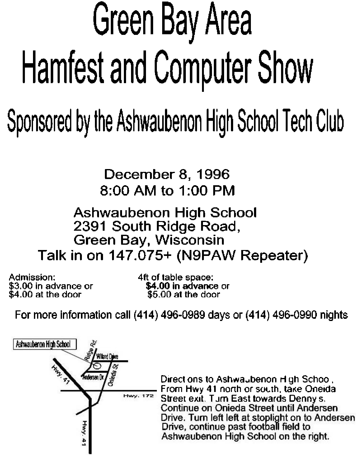## Green Bay Area Hamfest and Computer Show

## Sponsored by the Ashwaubenon High School Tech Club

**December 8, 1996 8:00 AM to l:00 PM** 

#### **Ashwaubenon High School 2391 South Ridge Road, Green Bay, Wisconsin Talk in on 147.075+ (N9PAW Repeater)**

**Admission: 4fl of table space: \$3.00 in advance or \$4.00 in advance or \$4.00 at the door \$5.00 at me door** 

**For more information call (414) 496-0989 days or (414) 496-0990 nights** 



Directions to Ashwa<sub>w</sub>benon High Schoo .<br>From Hwy 41 north or south, take Oneida **Street exit. Tum East towards Denny s.**<br>Continue on Onieda Street until Andersen Drive. Turn left left at stoplight on to Andersen Drive, continue past football field to<br>Ashwaubenon High School on the right.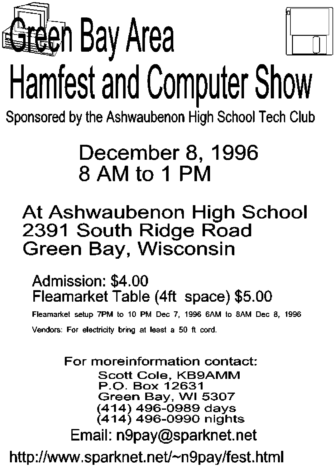

# Hamfest and Computer Show

**Sponsored by the Ashwaubenon H'igh School Tech Club** 

## December 8, 1996 8AMto1 PM

## **At Ashwaubenon High School 2391 South Ridge Road Green Bay, Wisconsin**

### **Admission:** \$4.00 **Fleamarket Table** (4ft **space)** \$5.00

**Fleamamet setup 7PM to 10 PM Dec 7. 19% SAM to 8AM Dec 8, 1996**  Vendors: For electricity bring at least a 50 ft cord.

### **For moreinformation contact: Scott Cole, KB9AMM P.O. Box 12631 Green Bay. WI 5307 (414) 496-0989 days (414) 496-0990 nights Email: ngpay@sparknet.net http://www.sparknet.netl-n9paylfest.html**